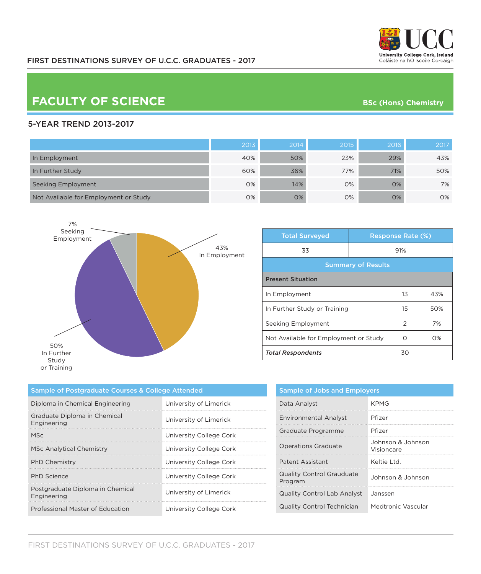

# **FACULTY OF SCIENCE BSc** (Hons) Chemistry

### 5-YEAR TREND 2013-2017

|                                       | 2013 | 2014 | 2015 | 2016 | 2017 |
|---------------------------------------|------|------|------|------|------|
| In Employment                         | 40%  | 50%  | 23%  | 29%  | 43%  |
| In Further Study                      | 60%  | 36%  | 77%  | 71%  | 50%  |
| Seeking Employment                    | 0%   | 14%  | 0%   | 0%   | 7%   |
| Not Available for Employment or Study | 0%   | 0%   | 0%   | 0%   | 0%   |



| <b>Total Surveyed</b>                 |  | <b>Response Rate (%)</b> |       |  |
|---------------------------------------|--|--------------------------|-------|--|
| 33                                    |  | 91%                      |       |  |
| <b>Summary of Results</b>             |  |                          |       |  |
| <b>Present Situation</b>              |  |                          |       |  |
| In Employment                         |  | 13                       | 43%   |  |
| In Further Study or Training          |  | 15                       | 50%   |  |
| Seeking Employment                    |  | 2                        | 7%    |  |
| Not Available for Employment or Study |  | ∩                        | $O\%$ |  |
| <b>Total Respondents</b>              |  | 30                       |       |  |

| Sample of Postgraduate Courses & College Attended |                         |  |
|---------------------------------------------------|-------------------------|--|
| Diploma in Chemical Engineering                   | University of Limerick  |  |
| Graduate Diploma in Chemical<br>Engineering       | University of Limerick  |  |
| <b>MSc</b>                                        | University College Cork |  |
| MSc Analytical Chemistry                          | University College Cork |  |
| <b>PhD Chemistry</b>                              | University College Cork |  |
| <b>PhD</b> Science                                | University College Cork |  |
| Postgraduate Diploma in Chemical<br>Engineering   | University of Limerick  |  |
| Professional Master of Education                  | University College Cork |  |

| <b>Sample of Jobs and Employers</b>         |                                 |  |
|---------------------------------------------|---------------------------------|--|
| Data Analyst                                | <b>KPMG</b>                     |  |
| Environmental Analyst                       | Pfizer                          |  |
| Graduate Programme                          | Pfizer                          |  |
| <b>Operations Graduate</b>                  | Johnson & Johnson<br>Visioncare |  |
| Patent Assistant                            | Keltie I td.                    |  |
| <b>Quality Control Grauduate</b><br>Program | Johnson & Johnson               |  |
| <b>Quality Control Lab Analyst</b>          | Janssen                         |  |
| <b>Quality Control Technician</b>           | Medtronic Vascular              |  |